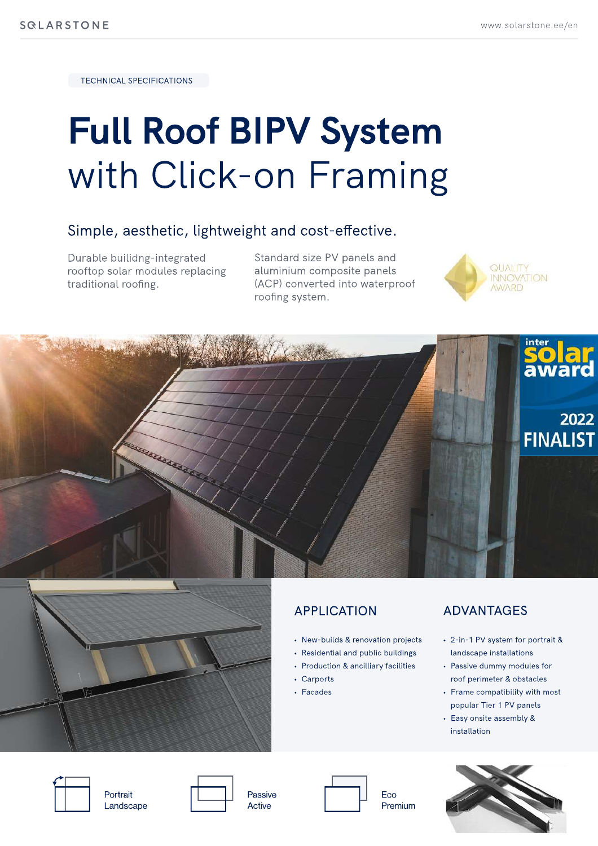**TECHNICAL SPECIFICATIONS** 

# **Full Roof BIPV System** with Click-on Framing

## Simple, aesthetic, lightweight and cost-effective.

Durable builidng-integrated rooftop solar modules replacing traditional roofing.

Standard size PV panels and aluminium composite panels (ACP) converted into waterproof roofing system.







# **APPLICATION**

- New-builds & renovation projects
- Residential and public buildings
- Production & ancilliary facilities
- Carports
- Facades

### **ADVANTAGES**

- 2-in-1 PV system for portrait & landscape installations
- Passive dummy modules for roof perimeter & obstacles
- Frame compatibility with most popular Tier 1 PV panels
- Easy onsite assembly & installation



Portrait Landscape



Passive

Active



Eco Premium